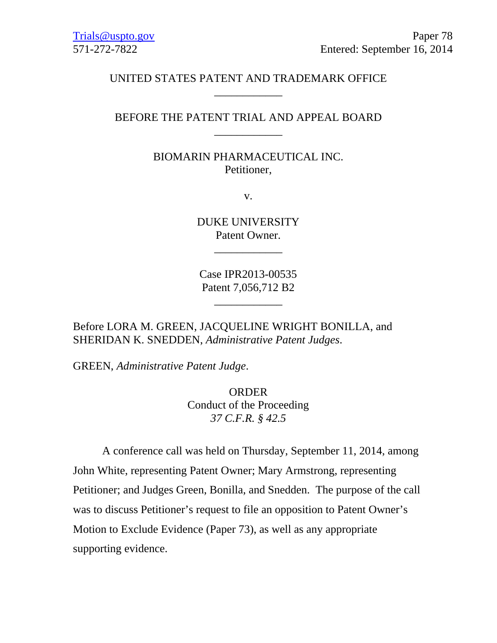## UNITED STATES PATENT AND TRADEMARK OFFICE \_\_\_\_\_\_\_\_\_\_\_\_

## BEFORE THE PATENT TRIAL AND APPEAL BOARD \_\_\_\_\_\_\_\_\_\_\_\_

## BIOMARIN PHARMACEUTICAL INC. Petitioner,

v.

DUKE UNIVERSITY Patent Owner.

\_\_\_\_\_\_\_\_\_\_\_\_

Case IPR2013-00535 Patent 7,056,712 B2

\_\_\_\_\_\_\_\_\_\_\_\_

Before LORA M. GREEN, JACQUELINE WRIGHT BONILLA, and SHERIDAN K. SNEDDEN, *Administrative Patent Judges*.

GREEN, *Administrative Patent Judge*.

ORDER Conduct of the Proceeding *37 C.F.R. § 42.5*

A conference call was held on Thursday, September 11, 2014, among John White, representing Patent Owner; Mary Armstrong, representing Petitioner; and Judges Green, Bonilla, and Snedden. The purpose of the call was to discuss Petitioner's request to file an opposition to Patent Owner's Motion to Exclude Evidence (Paper 73), as well as any appropriate supporting evidence.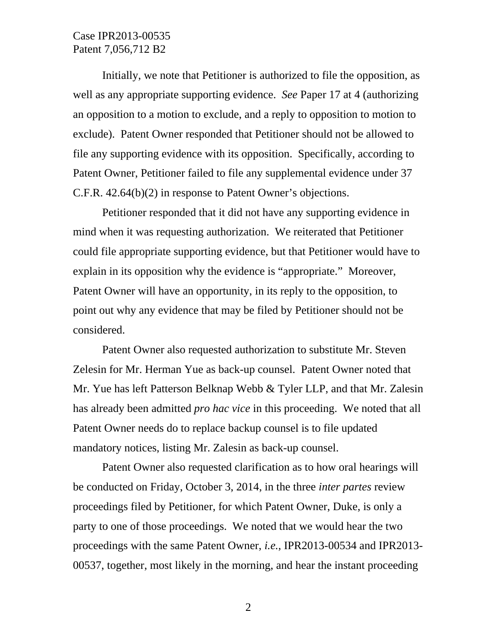## Case IPR2013-00535 Patent 7,056,712 B2

 Initially, we note that Petitioner is authorized to file the opposition, as well as any appropriate supporting evidence. *See* Paper 17 at 4 (authorizing an opposition to a motion to exclude, and a reply to opposition to motion to exclude). Patent Owner responded that Petitioner should not be allowed to file any supporting evidence with its opposition. Specifically, according to Patent Owner, Petitioner failed to file any supplemental evidence under 37 C.F.R. 42.64(b)(2) in response to Patent Owner's objections.

 Petitioner responded that it did not have any supporting evidence in mind when it was requesting authorization. We reiterated that Petitioner could file appropriate supporting evidence, but that Petitioner would have to explain in its opposition why the evidence is "appropriate." Moreover, Patent Owner will have an opportunity, in its reply to the opposition, to point out why any evidence that may be filed by Petitioner should not be considered.

 Patent Owner also requested authorization to substitute Mr. Steven Zelesin for Mr. Herman Yue as back-up counsel. Patent Owner noted that Mr. Yue has left Patterson Belknap Webb & Tyler LLP, and that Mr. Zalesin has already been admitted *pro hac vice* in this proceeding. We noted that all Patent Owner needs do to replace backup counsel is to file updated mandatory notices, listing Mr. Zalesin as back-up counsel.

 Patent Owner also requested clarification as to how oral hearings will be conducted on Friday, October 3, 2014, in the three *inter partes* review proceedings filed by Petitioner, for which Patent Owner, Duke, is only a party to one of those proceedings. We noted that we would hear the two proceedings with the same Patent Owner, *i.e.*, IPR2013-00534 and IPR2013- 00537, together, most likely in the morning, and hear the instant proceeding

2